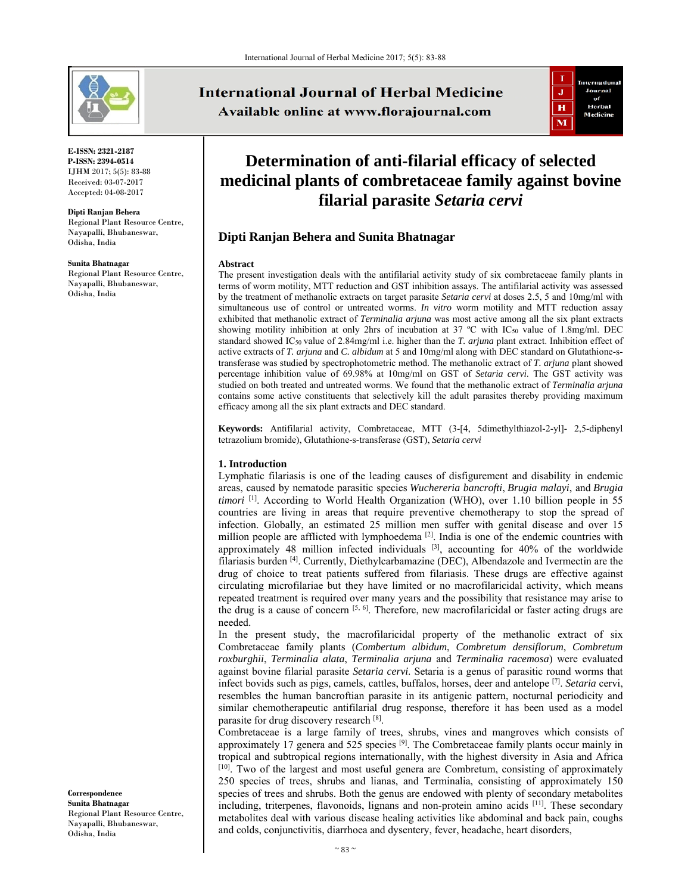

**E-ISSN: 2321-2187 P-ISSN: 2394-0514**  IJHM 2017; 5(5): 83-88 Received: 03-07-2017 Accepted: 04-08-2017

**Dipti Ranjan Behera**  Regional Plant Resource Centre, Nayapalli, Bhubaneswar, Odisha, India

**Sunita Bhatnagar**  Regional Plant Resource Centre, Nayapalli, Bhubaneswar, Odisha, India

**International Journal of Herbal Medicine** Available online at www.florajournal.com



# **Determination of anti-filarial efficacy of selected medicinal plants of combretaceae family against bovine filarial parasite** *Setaria cervi*

# **Dipti Ranjan Behera and Sunita Bhatnagar**

#### **Abstract**

The present investigation deals with the antifilarial activity study of six combretaceae family plants in terms of worm motility, MTT reduction and GST inhibition assays. The antifilarial activity was assessed by the treatment of methanolic extracts on target parasite *Setaria cervi* at doses 2.5, 5 and 10mg/ml with simultaneous use of control or untreated worms. *In vitro* worm motility and MTT reduction assay exhibited that methanolic extract of *Terminalia arjuna* was most active among all the six plant extracts showing motility inhibition at only 2hrs of incubation at 37 °C with IC<sub>50</sub> value of 1.8mg/ml. DEC standard showed IC50 value of 2.84mg/ml i.e. higher than the *T. arjuna* plant extract. Inhibition effect of active extracts of *T. arjuna* and *C. albidum* at 5 and 10mg/ml along with DEC standard on Glutathione-stransferase was studied by spectrophotometric method. The methanolic extract of *T. arjuna* plant showed percentage inhibition value of 69.98% at 10mg/ml on GST of *Setaria cervi*. The GST activity was studied on both treated and untreated worms. We found that the methanolic extract of *Terminalia arjuna* contains some active constituents that selectively kill the adult parasites thereby providing maximum efficacy among all the six plant extracts and DEC standard.

**Keywords:** Antifilarial activity, Combretaceae, MTT (3-[4, 5dimethylthiazol-2-yl]- 2,5-diphenyl tetrazolium bromide), Glutathione-s-transferase (GST), *Setaria cervi*

## **1. Introduction**

Lymphatic filariasis is one of the leading causes of disfigurement and disability in endemic areas, caused by nematode parasitic species *Wuchereria bancrofti*, *Brugia malayi*, and *Brugia timori* [1]. According to World Health Organization (WHO), over 1.10 billion people in 55 countries are living in areas that require preventive chemotherapy to stop the spread of infection. Globally, an estimated 25 million men suffer with genital disease and over 15 million people are afflicted with lymphoedema  $\left[2\right]$ . India is one of the endemic countries with approximately 48 million infected individuals <sup>[3]</sup>, accounting for 40% of the worldwide filariasis burden [4]. Currently, Diethylcarbamazine (DEC), Albendazole and Ivermectin are the drug of choice to treat patients suffered from filariasis. These drugs are effective against circulating microfilariae but they have limited or no macrofilaricidal activity, which means repeated treatment is required over many years and the possibility that resistance may arise to the drug is a cause of concern  $[5, 6]$ . Therefore, new macrofilaricidal or faster acting drugs are needed.

In the present study, the macrofilaricidal property of the methanolic extract of six Combretaceae family plants (*Combertum albidum*, *Combretum densiflorum*, *Combretum roxburghii*, *Terminalia alata*, *Terminalia arjuna* and *Terminalia racemosa*) were evaluated against bovine filarial parasite *Setaria cervi*. Setaria is a genus of parasitic round worms that infect bovids such as pigs, camels, cattles, buffalos, horses, deer and antelope [7]. *Setaria* cervi, resembles the human bancroftian parasite in its antigenic pattern, nocturnal periodicity and similar chemotherapeutic antifilarial drug response, therefore it has been used as a model parasite for drug discovery research [8].

Combretaceae is a large family of trees, shrubs, vines and mangroves which consists of approximately 17 genera and  $525$  species  $[9]$ . The Combretaceae family plants occur mainly in tropical and subtropical regions internationally, with the highest diversity in Asia and Africa [10]. Two of the largest and most useful genera are Combretum, consisting of approximately 250 species of trees, shrubs and lianas, and Terminalia, consisting of approximately 150 species of trees and shrubs. Both the genus are endowed with plenty of secondary metabolites including, triterpenes, flavonoids, lignans and non-protein amino acids [11]. These secondary metabolites deal with various disease healing activities like abdominal and back pain, coughs and colds, conjunctivitis, diarrhoea and dysentery, fever, headache, heart disorders,

**Correspondence Sunita Bhatnagar**  Regional Plant Resource Centre, Nayapalli, Bhubaneswar, Odisha, India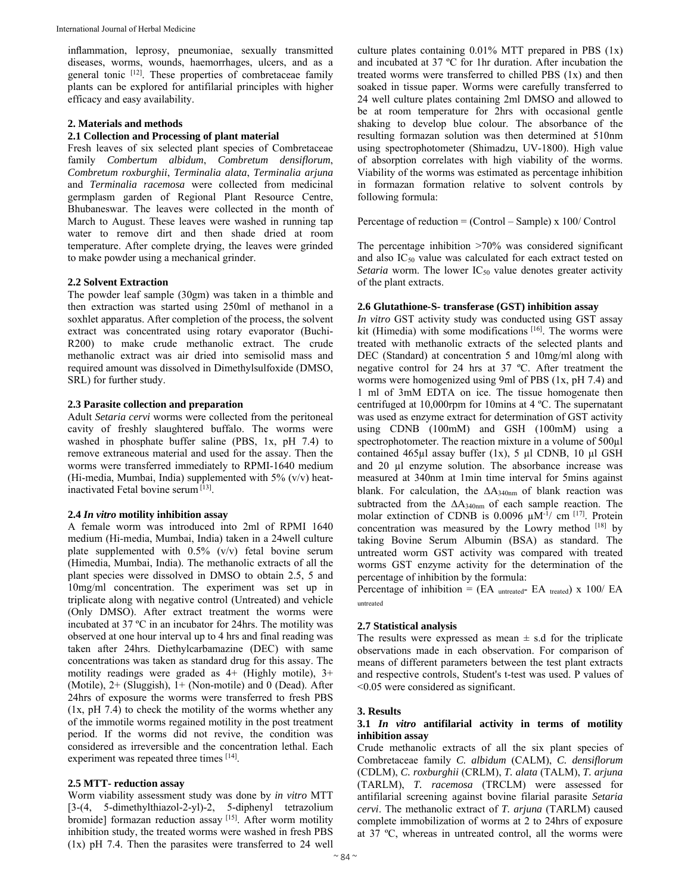inflammation, leprosy, pneumoniae, sexually transmitted diseases, worms, wounds, haemorrhages, ulcers, and as a general tonic [12]. These properties of combretaceae family plants can be explored for antifilarial principles with higher efficacy and easy availability.

#### **2. Materials and methods**

#### **2.1 Collection and Processing of plant material**

Fresh leaves of six selected plant species of Combretaceae family *Combertum albidum*, *Combretum densiflorum*, *Combretum roxburghii*, *Terminalia alata*, *Terminalia arjuna* and *Terminalia racemosa* were collected from medicinal germplasm garden of Regional Plant Resource Centre, Bhubaneswar. The leaves were collected in the month of March to August. These leaves were washed in running tap water to remove dirt and then shade dried at room temperature. After complete drying, the leaves were grinded to make powder using a mechanical grinder.

#### **2.2 Solvent Extraction**

The powder leaf sample (30gm) was taken in a thimble and then extraction was started using 250ml of methanol in a soxhlet apparatus. After completion of the process, the solvent extract was concentrated using rotary evaporator (Buchi-R200) to make crude methanolic extract. The crude methanolic extract was air dried into semisolid mass and required amount was dissolved in Dimethylsulfoxide (DMSO, SRL) for further study.

#### **2.3 Parasite collection and preparation**

Adult *Setaria cervi* worms were collected from the peritoneal cavity of freshly slaughtered buffalo. The worms were washed in phosphate buffer saline (PBS, 1x, pH 7.4) to remove extraneous material and used for the assay. Then the worms were transferred immediately to RPMI-1640 medium (Hi-media, Mumbai, India) supplemented with 5% (v/v) heatinactivated Fetal bovine serum [13].

#### **2.4** *In vitro* **motility inhibition assay**

A female worm was introduced into 2ml of RPMI 1640 medium (Hi-media, Mumbai, India) taken in a 24well culture plate supplemented with 0.5% (v/v) fetal bovine serum (Himedia, Mumbai, India). The methanolic extracts of all the plant species were dissolved in DMSO to obtain 2.5, 5 and 10mg/ml concentration. The experiment was set up in triplicate along with negative control (Untreated) and vehicle (Only DMSO). After extract treatment the worms were incubated at 37 ºC in an incubator for 24hrs. The motility was observed at one hour interval up to 4 hrs and final reading was taken after 24hrs. Diethylcarbamazine (DEC) with same concentrations was taken as standard drug for this assay. The motility readings were graded as  $4+$  (Highly motile),  $3+$ (Motile),  $2+$  (Sluggish),  $1+$  (Non-motile) and 0 (Dead). After 24hrs of exposure the worms were transferred to fresh PBS (1x, pH 7.4) to check the motility of the worms whether any of the immotile worms regained motility in the post treatment period. If the worms did not revive, the condition was considered as irreversible and the concentration lethal. Each experiment was repeated three times [14].

#### **2.5 MTT- reduction assay**

Worm viability assessment study was done by *in vitro* MTT [3-(4, 5-dimethylthiazol-2-yl)-2, 5-diphenyl tetrazolium bromide] formazan reduction assay [15]. After worm motility inhibition study, the treated worms were washed in fresh PBS (1x) pH 7.4. Then the parasites were transferred to 24 well culture plates containing  $0.01\%$  MTT prepared in PBS  $(1x)$ and incubated at 37 ºC for 1hr duration. After incubation the treated worms were transferred to chilled PBS (1x) and then soaked in tissue paper. Worms were carefully transferred to 24 well culture plates containing 2ml DMSO and allowed to be at room temperature for 2hrs with occasional gentle shaking to develop blue colour. The absorbance of the resulting formazan solution was then determined at 510nm using spectrophotometer (Shimadzu, UV-1800). High value of absorption correlates with high viability of the worms. Viability of the worms was estimated as percentage inhibition in formazan formation relative to solvent controls by following formula:

Percentage of reduction = (Control – Sample) x 100/ Control

The percentage inhibition >70% was considered significant and also IC<sub>50</sub> value was calculated for each extract tested on *Setaria* worm. The lower  $IC_{50}$  value denotes greater activity of the plant extracts.

#### **2.6 Glutathione-S- transferase (GST) inhibition assay**

*In vitro* GST activity study was conducted using GST assay kit (Himedia) with some modifications  $[16]$ . The worms were treated with methanolic extracts of the selected plants and DEC (Standard) at concentration 5 and 10mg/ml along with negative control for 24 hrs at 37 ºC. After treatment the worms were homogenized using 9ml of PBS (1x, pH 7.4) and 1 ml of 3mM EDTA on ice. The tissue homogenate then centrifuged at 10,000rpm for 10mins at 4 ºC. The supernatant was used as enzyme extract for determination of GST activity using CDNB (100mM) and GSH (100mM) using a spectrophotometer. The reaction mixture in a volume of  $500\mu$ l contained 465µl assay buffer (1x), 5 µl CDNB, 10 µl GSH and 20 µl enzyme solution. The absorbance increase was measured at 340nm at 1min time interval for 5mins against blank. For calculation, the  $\Delta A_{340nm}$  of blank reaction was subtracted from the  $\Delta A_{340nm}$  of each sample reaction. The molar extinction of CDNB is 0.0096  $\mu$ M<sup>-1</sup>/ cm <sup>[17]</sup>. Protein concentration was measured by the Lowry method [18] by taking Bovine Serum Albumin (BSA) as standard. The untreated worm GST activity was compared with treated worms GST enzyme activity for the determination of the percentage of inhibition by the formula:

Percentage of inhibition = (EA untreated- EA treated) x 100/ EA untreated

#### **2.7 Statistical analysis**

The results were expressed as mean  $\pm$  s.d for the triplicate observations made in each observation. For comparison of means of different parameters between the test plant extracts and respective controls, Student's t-test was used. P values of <0.05 were considered as significant.

#### **3. Results**

#### **3.1** *In vitro* **antifilarial activity in terms of motility inhibition assay**

Crude methanolic extracts of all the six plant species of Combretaceae family *C. albidum* (CALM), *C. densiflorum* (CDLM), *C. roxburghii* (CRLM), *T. alata* (TALM), *T. arjuna* (TARLM), *T. racemosa* (TRCLM) were assessed for antifilarial screening against bovine filarial parasite *Setaria cervi*. The methanolic extract of *T. arjuna* (TARLM) caused complete immobilization of worms at 2 to 24hrs of exposure at 37 ºC, whereas in untreated control, all the worms were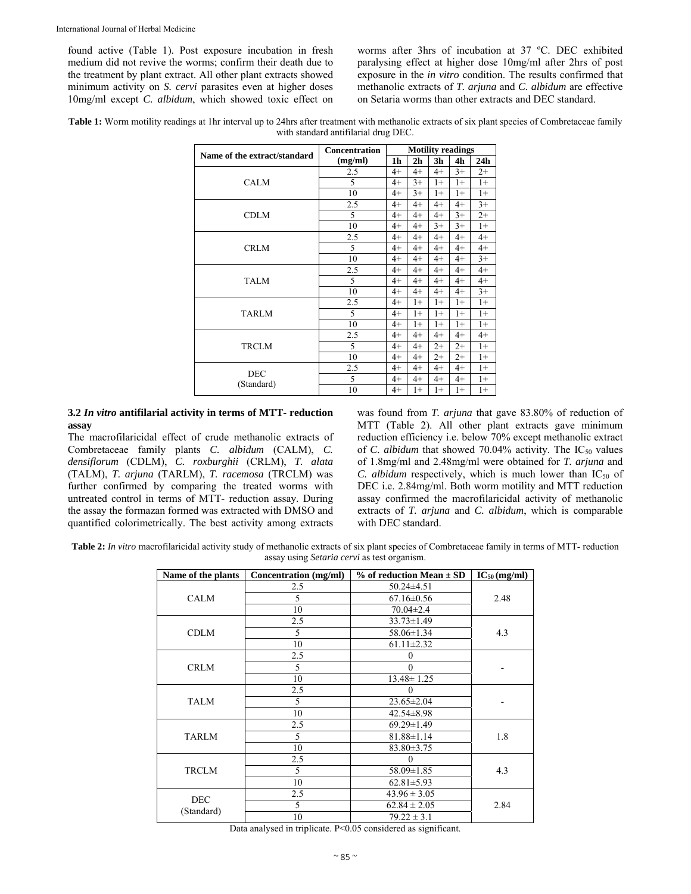found active (Table 1). Post exposure incubation in fresh medium did not revive the worms; confirm their death due to the treatment by plant extract. All other plant extracts showed minimum activity on *S. cervi* parasites even at higher doses 10mg/ml except *C. albidum*, which showed toxic effect on worms after 3hrs of incubation at 37 ºC. DEC exhibited paralysing effect at higher dose 10mg/ml after 2hrs of post exposure in the *in vitro* condition. The results confirmed that methanolic extracts of *T. arjuna* and *C. albidum* are effective on Setaria worms than other extracts and DEC standard.

**Table 1:** Worm motility readings at 1hr interval up to 24hrs after treatment with methanolic extracts of six plant species of Combretaceae family with standard antifilarial drug DEC.

| Name of the extract/standard | <b>Concentration</b> | <b>Motility readings</b> |                |                |      |                 |
|------------------------------|----------------------|--------------------------|----------------|----------------|------|-----------------|
|                              | (mg/ml)              | 1h                       | 2 <sub>h</sub> | 3 <sub>h</sub> | 4h   | 24 <sub>h</sub> |
| <b>CALM</b>                  | 2.5                  | $4+$                     | $4+$           | $4+$           | $3+$ | $2+$            |
|                              | 5                    | $4+$                     | $3+$           | $1+$           | $1+$ | $1+$            |
|                              | 10                   | $4+$                     | $3+$           | $1+$           | $1+$ | $1+$            |
| <b>CDLM</b>                  | 2.5                  | $4+$                     | $4+$           | $4+$           | $4+$ | $3+$            |
|                              | 5                    | $4+$                     | $4+$           | $4+$           | $3+$ | $2+$            |
|                              | 10                   | $4+$                     | $4+$           | $3+$           | $3+$ | $1+$            |
| <b>CRLM</b>                  | 2.5                  | 4+                       | $4+$           | $4+$           | $4+$ | $4+$            |
|                              | 5                    | 4+                       | $4+$           | $4+$           | $4+$ | $4+$            |
|                              | 10                   | $4+$                     | $4+$           | $4+$           | $4+$ | $3+$            |
| <b>TALM</b>                  | 2.5                  | $4+$                     | $4+$           | $4+$           | $4+$ | $4+$            |
|                              | 5                    | $4+$                     | $4+$           | $4+$           | $4+$ | $4+$            |
|                              | 10                   | $4+$                     | $4+$           | $4+$           | $4+$ | $3+$            |
| <b>TARLM</b>                 | 2.5                  | $4+$                     | $1+$           | $1+$           | $1+$ | $1+$            |
|                              | 5                    | $4+$                     | $1+$           | $1+$           | $1+$ | $1+$            |
|                              | 10                   | $4+$                     | $1+$           | $1+$           | $1+$ | $1+$            |
| <b>TRCLM</b>                 | 2.5                  | 4+                       | $4+$           | $4+$           | $4+$ | $4+$            |
|                              | 5                    | $4+$                     | $4+$           | $2+$           | $2+$ | $1+$            |
|                              | 10                   | $4+$                     | $4+$           | $2+$           | $2+$ | $1+$            |
| <b>DEC</b><br>(Standard)     | 2.5                  | 4+                       | $4+$           | $4+$           | $4+$ | $1+$            |
|                              | 5                    | $4+$                     | $4+$           | $4+$           | $4+$ | $1+$            |
|                              | 10                   | 4+                       | $1+$           | $1+$           | $1+$ | $1+$            |

**3.2** *In vitro* **antifilarial activity in terms of MTT- reduction assay** 

The macrofilaricidal effect of crude methanolic extracts of Combretaceae family plants *C. albidum* (CALM), *C. densiflorum* (CDLM), *C. roxburghii* (CRLM), *T. alata* (TALM), *T. arjuna* (TARLM), *T. racemosa* (TRCLM) was further confirmed by comparing the treated worms with untreated control in terms of MTT- reduction assay. During the assay the formazan formed was extracted with DMSO and quantified colorimetrically. The best activity among extracts was found from *T. arjuna* that gave 83.80% of reduction of MTT (Table 2). All other plant extracts gave minimum reduction efficiency i.e. below 70% except methanolic extract of *C. albidum* that showed 70.04% activity. The  $IC_{50}$  values of 1.8mg/ml and 2.48mg/ml were obtained for *T. arjuna* and *C. albidum* respectively, which is much lower than  $IC_{50}$  of DEC i.e. 2.84mg/ml. Both worm motility and MTT reduction assay confirmed the macrofilaricidal activity of methanolic extracts of *T. arjuna* and *C. albidum*, which is comparable with DEC standard.

**Table 2:** *In vitro* macrofilaricidal activity study of methanolic extracts of six plant species of Combretaceae family in terms of MTT- reduction assay using *Setaria cervi* as test organism.

| Name of the plants       | Concentration (mg/ml) | $%$ of reduction Mean $\pm$ SD | $IC_{50}$ (mg/ml) |  |
|--------------------------|-----------------------|--------------------------------|-------------------|--|
| <b>CALM</b>              | 2.5                   | $50.24 \pm 4.51$               |                   |  |
|                          | 5<br>$67.16 \pm 0.56$ |                                | 2.48              |  |
|                          | 10                    | $70.04 \pm 2.4$                |                   |  |
| <b>CDLM</b>              | 2.5                   | $33.73 \pm 1.49$               | 4.3               |  |
|                          | 5                     | 58.06±1.34                     |                   |  |
|                          | 10                    | $61.11 \pm 2.32$               |                   |  |
| <b>CRLM</b>              | 2.5                   | $\theta$                       |                   |  |
|                          | 5                     | $\Omega$                       |                   |  |
|                          | 10                    | $13.48 \pm 1.25$               |                   |  |
| <b>TALM</b>              | 2.5                   | $\theta$                       |                   |  |
|                          | 5                     | $23.65 \pm 2.04$               |                   |  |
|                          | 10                    | $42.54 \pm 8.98$               |                   |  |
| <b>TARLM</b>             | 2.5                   | $69.29 \pm 1.49$               |                   |  |
|                          | 5                     | $81.88 \pm 1.14$               |                   |  |
|                          | 10                    | $83.80 \pm 3.75$               |                   |  |
| <b>TRCLM</b>             | 2.5                   | $\theta$                       |                   |  |
|                          | 5<br>58.09±1.85       |                                | 4.3               |  |
|                          | 10                    | $62.81 \pm 5.93$               |                   |  |
| <b>DEC</b><br>(Standard) | 2.5                   | $43.96 \pm 3.05$               |                   |  |
|                          | 5<br>$62.84 \pm 2.05$ |                                | 2.84              |  |
|                          | 10                    | $79.22 \pm 3.1$                |                   |  |

Data analysed in triplicate. P<0.05 considered as significant.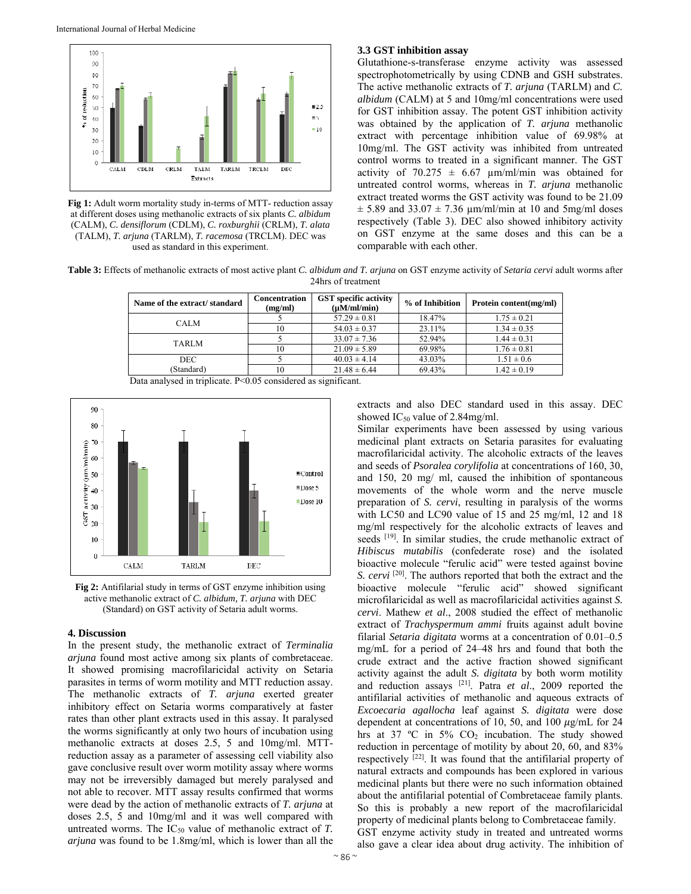

**Fig 1:** Adult worm mortality study in-terms of MTT- reduction assay at different doses using methanolic extracts of six plants *C. albidum* (CALM), *C. densiflorum* (CDLM), *C. roxburghii* (CRLM), *T. alata* (TALM), *T. arjuna* (TARLM), *T. racemosa* (TRCLM). DEC was used as standard in this experiment.

### **3.3 GST inhibition assay**

Glutathione-s-transferase enzyme activity was assessed spectrophotometrically by using CDNB and GSH substrates. The active methanolic extracts of *T. arjuna* (TARLM) and *C. albidum* (CALM) at 5 and 10mg/ml concentrations were used for GST inhibition assay. The potent GST inhibition activity was obtained by the application of *T. arjuna* methanolic extract with percentage inhibition value of 69.98% at 10mg/ml. The GST activity was inhibited from untreated control worms to treated in a significant manner. The GST activity of  $70.275 \pm 6.67$  µm/ml/min was obtained for untreated control worms, whereas in *T. arjuna* methanolic extract treated worms the GST activity was found to be 21.09  $\pm$  5.89 and 33.07  $\pm$  7.36  $\mu$ m/ml/min at 10 and 5mg/ml doses respectively (Table 3). DEC also showed inhibitory activity on GST enzyme at the same doses and this can be a comparable with each other.

**Table 3:** Effects of methanolic extracts of most active plant *C. albidum and T. arjuna* on GST enzyme activity of *Setaria cervi* adult worms after 24hrs of treatment

| Name of the extract/standard | <b>Concentration</b><br>(mg/ml) | <b>GST</b> specific activity<br>$(\mu M/ml/min)$ | % of Inhibition | Protein content(mg/ml) |  |
|------------------------------|---------------------------------|--------------------------------------------------|-----------------|------------------------|--|
| <b>CALM</b>                  |                                 | $57.29 \pm 0.81$                                 | 18.47%          | $1.75 \pm 0.21$        |  |
|                              | 10                              | $54.03 \pm 0.37$                                 | 23.11%          | $1.34 \pm 0.35$        |  |
| <b>TARLM</b>                 |                                 | $33.07 \pm 7.36$                                 | 52.94%          | $1.44 \pm 0.31$        |  |
|                              | 10                              | $21.09 \pm 5.89$                                 | 69.98%          | $1.76 \pm 0.81$        |  |
| <b>DEC</b>                   |                                 | $40.03 \pm 4.14$                                 | 43.03%          | $1.51 \pm 0.6$         |  |
| (Standard)                   | 10                              | $21.48 \pm 6.44$                                 | 69.43%          | $1.42 \pm 0.19$        |  |

Data analysed in triplicate. P<0.05 considered as significant.



**Fig 2:** Antifilarial study in terms of GST enzyme inhibition using active methanolic extract of *C. albidum, T. arjuna* with DEC (Standard) on GST activity of Setaria adult worms.

#### **4. Discussion**

In the present study, the methanolic extract of *Terminalia arjuna* found most active among six plants of combretaceae. It showed promising macrofilaricidal activity on Setaria parasites in terms of worm motility and MTT reduction assay. The methanolic extracts of *T. arjuna* exerted greater inhibitory effect on Setaria worms comparatively at faster rates than other plant extracts used in this assay. It paralysed the worms significantly at only two hours of incubation using methanolic extracts at doses 2.5, 5 and 10mg/ml. MTTreduction assay as a parameter of assessing cell viability also gave conclusive result over worm motility assay where worms may not be irreversibly damaged but merely paralysed and not able to recover. MTT assay results confirmed that worms were dead by the action of methanolic extracts of *T. arjuna* at doses 2.5, 5 and 10mg/ml and it was well compared with untreated worms. The  $IC_{50}$  value of methanolic extract of  $T$ . *arjuna* was found to be 1.8mg/ml, which is lower than all the extracts and also DEC standard used in this assay. DEC showed  $IC_{50}$  value of 2.84mg/ml.

Similar experiments have been assessed by using various medicinal plant extracts on Setaria parasites for evaluating macrofilaricidal activity. The alcoholic extracts of the leaves and seeds of *Psoralea corylifolia* at concentrations of 160, 30, and 150, 20 mg/ ml, caused the inhibition of spontaneous movements of the whole worm and the nerve muscle preparation of *S. cervi*, resulting in paralysis of the worms with LC50 and LC90 value of 15 and 25 mg/ml, 12 and 18 mg/ml respectively for the alcoholic extracts of leaves and seeds [19]. In similar studies, the crude methanolic extract of *Hibiscus mutabilis* (confederate rose) and the isolated bioactive molecule "ferulic acid" were tested against bovine *S. cervi* <sup>[20]</sup>. The authors reported that both the extract and the bioactive molecule "ferulic acid" showed significant microfilaricidal as well as macrofilaricidal activities against *S. cervi*. Mathew *et al*., 2008 studied the effect of methanolic extract of *Trachyspermum ammi* fruits against adult bovine filarial *Setaria digitata* worms at a concentration of 0.01–0.5 mg/mL for a period of 24–48 hrs and found that both the crude extract and the active fraction showed significant activity against the adult *S. digitata* by both worm motility and reduction assays [21]. Patra *et al*., 2009 reported the antifilarial activities of methanolic and aqueous extracts of *Excoecaria agallocha* leaf against *S. digitata* were dose dependent at concentrations of 10, 50, and 100  $\mu$ g/mL for 24 hrs at 37 °C in 5% CO<sub>2</sub> incubation. The study showed reduction in percentage of motility by about 20, 60, and 83% respectively [22]. It was found that the antifilarial property of natural extracts and compounds has been explored in various medicinal plants but there were no such information obtained about the antifilarial potential of Combretaceae family plants. So this is probably a new report of the macrofilaricidal property of medicinal plants belong to Combretaceae family. GST enzyme activity study in treated and untreated worms also gave a clear idea about drug activity. The inhibition of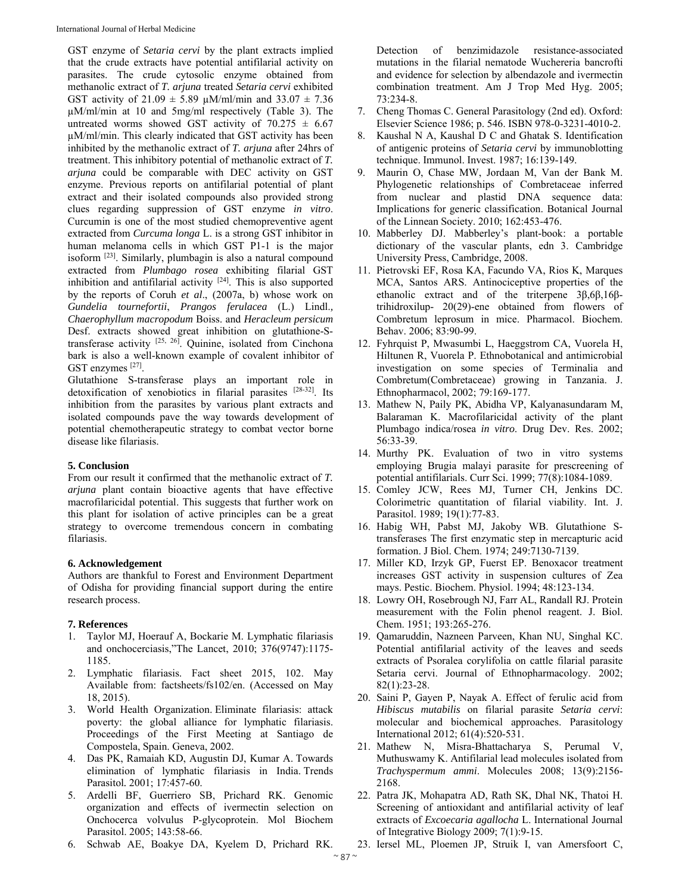GST enzyme of *Setaria cervi* by the plant extracts implied that the crude extracts have potential antifilarial activity on parasites. The crude cytosolic enzyme obtained from methanolic extract of *T. arjuna* treated *Setaria cervi* exhibited GST activity of  $21.09 \pm 5.89 \mu M/ml/min$  and  $33.07 \pm 7.36$ µM/ml/min at 10 and 5mg/ml respectively (Table 3). The untreated worms showed GST activity of  $70.275 \pm 6.67$ µM/ml/min. This clearly indicated that GST activity has been inhibited by the methanolic extract of *T. arjuna* after 24hrs of treatment. This inhibitory potential of methanolic extract of *T. arjuna* could be comparable with DEC activity on GST enzyme. Previous reports on antifilarial potential of plant extract and their isolated compounds also provided strong clues regarding suppression of GST enzyme *in vitro*. Curcumin is one of the most studied chemopreventive agent extracted from *Curcuma longa* L. is a strong GST inhibitor in human melanoma cells in which GST P1-1 is the major isoform [23]. Similarly, plumbagin is also a natural compound extracted from *Plumbago rosea* exhibiting filarial GST inhibition and antifilarial activity  $[24]$ . This is also supported by the reports of Coruh *et al*., (2007a, b) whose work on *Gundelia tournefortii*, *Prangos ferulacea* (L.) Lindl.*, Chaerophyllum macropodum* Boiss. and *Heracleum persicum*  Desf. extracts showed great inhibition on glutathione-Stransferase activity  $[25, 26]$ . Quinine, isolated from Cinchona bark is also a well-known example of covalent inhibitor of GST enzymes [27].

Glutathione S-transferase plays an important role in detoxification of xenobiotics in filarial parasites [28-32]. Its inhibition from the parasites by various plant extracts and isolated compounds pave the way towards development of potential chemotherapeutic strategy to combat vector borne disease like filariasis.

## **5. Conclusion**

From our result it confirmed that the methanolic extract of *T. arjuna* plant contain bioactive agents that have effective macrofilaricidal potential. This suggests that further work on this plant for isolation of active principles can be a great strategy to overcome tremendous concern in combating filariasis.

## **6. Acknowledgement**

Authors are thankful to Forest and Environment Department of Odisha for providing financial support during the entire research process.

## **7. References**

- 1. Taylor MJ, Hoerauf A, Bockarie M. Lymphatic filariasis and onchocerciasis,"The Lancet, 2010; 376(9747):1175- 1185.
- 2. Lymphatic filariasis. Fact sheet 2015, 102. May Available from: factsheets/fs102/en. (Accessed on May 18, 2015).
- 3. World Health Organization. Eliminate filariasis: attack poverty: the global alliance for lymphatic filariasis. Proceedings of the First Meeting at Santiago de Compostela, Spain. Geneva, 2002.
- 4. Das PK, Ramaiah KD, Augustin DJ, Kumar A. Towards elimination of lymphatic filariasis in India. Trends Parasitol*.* 2001; 17:457-60.
- 5. Ardelli BF, Guerriero SB, Prichard RK. Genomic organization and effects of ivermectin selection on Onchocerca volvulus P-glycoprotein. Mol Biochem Parasitol. 2005; 143:58-66.
- 6. Schwab AE, Boakye DA, Kyelem D, Prichard RK.

Detection of benzimidazole resistance-associated mutations in the filarial nematode Wuchereria bancrofti and evidence for selection by albendazole and ivermectin combination treatment. Am J Trop Med Hyg. 2005; 73:234-8.

- 7. Cheng Thomas C. General Parasitology (2nd ed). Oxford: Elsevier Science 1986; p. 546. ISBN 978-0-3231-4010-2.
- 8. Kaushal N A, Kaushal D C and Ghatak S. Identification of antigenic proteins of *Setaria cervi* by immunoblotting technique. Immunol. Invest. 1987; 16:139-149.
- 9. Maurin O, Chase MW, Jordaan M, Van der Bank M. Phylogenetic relationships of Combretaceae inferred from nuclear and plastid DNA sequence data: Implications for generic classification. Botanical Journal of the Linnean Society. 2010; 162:453-476.
- 10. Mabberley DJ. Mabberley's plant-book: a portable dictionary of the vascular plants, edn 3. Cambridge University Press, Cambridge, 2008.
- 11. Pietrovski EF, Rosa KA, Facundo VA, Rios K, Marques MCA, Santos ARS. Antinociceptive properties of the ethanolic extract and of the triterpene 3β,6β,16βtrihidroxilup- 20(29)-ene obtained from flowers of Combretum leprosum in mice. Pharmacol. Biochem. Behav. 2006; 83:90-99.
- 12. Fyhrquist P, Mwasumbi L, Haeggstrom CA, Vuorela H, Hiltunen R, Vuorela P. Ethnobotanical and antimicrobial investigation on some species of Terminalia and Combretum(Combretaceae) growing in Tanzania. J. Ethnopharmacol, 2002; 79:169-177.
- 13. Mathew N, Paily PK, Abidha VP, Kalyanasundaram M, Balaraman K. Macrofilaricidal activity of the plant Plumbago indica/rosea *in vitro*. Drug Dev. Res. 2002; 56:33-39.
- 14. Murthy PK. Evaluation of two in vitro systems employing Brugia malayi parasite for prescreening of potential antifilarials. Curr Sci. 1999; 77(8):1084-1089.
- 15. Comley JCW, Rees MJ, Turner CH, Jenkins DC. Colorimetric quantitation of filarial viability. Int. J. Parasitol. 1989; 19(1):77-83.
- 16. Habig WH, Pabst MJ, Jakoby WB. Glutathione Stransferases The first enzymatic step in mercapturic acid formation. J Biol. Chem. 1974; 249:7130-7139.
- 17. Miller KD, Irzyk GP, Fuerst EP. Benoxacor treatment increases GST activity in suspension cultures of Zea mays. Pestic. Biochem. Physiol. 1994; 48:123-134.
- 18. Lowry OH, Rosebrough NJ, Farr AL, Randall RJ. Protein measurement with the Folin phenol reagent. J. Biol. Chem. 1951; 193:265-276.
- 19. Qamaruddin, Nazneen Parveen, Khan NU, Singhal KC. Potential antifilarial activity of the leaves and seeds extracts of Psoralea corylifolia on cattle filarial parasite Setaria cervi. Journal of Ethnopharmacology. 2002; 82(1):23-28.
- 20. Saini P, Gayen P, Nayak A. Effect of ferulic acid from *Hibiscus mutabilis* on filarial parasite *Setaria cervi*: molecular and biochemical approaches. Parasitology International 2012; 61(4):520-531.
- 21. Mathew N, Misra-Bhattacharya S, Perumal V, Muthuswamy K. Antifilarial lead molecules isolated from *Trachyspermum ammi*. Molecules 2008; 13(9):2156- 2168.
- 22. Patra JK, Mohapatra AD, Rath SK, Dhal NK, Thatoi H. Screening of antioxidant and antifilarial activity of leaf extracts of *Excoecaria agallocha* L. International Journal of Integrative Biology 2009; 7(1):9-15.
- 23. Iersel ML, Ploemen JP, Struik I, van Amersfoort C,